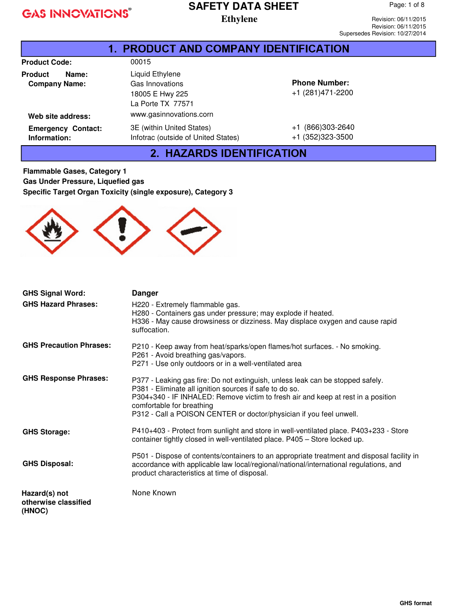# **SAFETY DATA SHEET**

**Ethylene** 

Page: 1 of 8

| <b>1. PRODUCT AND COMPANY IDENTIFICATION</b>    |                                                                            |                                          |  |
|-------------------------------------------------|----------------------------------------------------------------------------|------------------------------------------|--|
| <b>Product Code:</b>                            | 00015                                                                      |                                          |  |
| <b>Product</b><br>Name:<br><b>Company Name:</b> | Liquid Ethylene<br>Gas Innovations<br>18005 E Hwy 225<br>La Porte TX 77571 | <b>Phone Number:</b><br>+1 (281)471-2200 |  |
| Web site address:                               | www.gasinnovations.corn                                                    |                                          |  |
| <b>Emergency Contact:</b><br>Information:       | 3E (within United States)<br>Infotrac (outside of United States)           | +1 (866)303-2640<br>+1 (352) 323-3500    |  |

2. HAZARDS IDENTIFICATION

**Flammable Gases, Category 1 Gas Under Pressure, Liquefied gas Specific Target Organ Toxicity (single exposure), Category 3** 



| <b>GHS Signal Word:</b>                         | <b>Danger</b>                                                                                                                                                                                                                                                                                                                     |
|-------------------------------------------------|-----------------------------------------------------------------------------------------------------------------------------------------------------------------------------------------------------------------------------------------------------------------------------------------------------------------------------------|
| <b>GHS Hazard Phrases:</b>                      | H220 - Extremely flammable gas.<br>H280 - Containers gas under pressure; may explode if heated.<br>H336 - May cause drowsiness or dizziness. May displace oxygen and cause rapid<br>suffocation.                                                                                                                                  |
| <b>GHS Precaution Phrases:</b>                  | P210 - Keep away from heat/sparks/open flames/hot surfaces. - No smoking.<br>P261 - Avoid breathing gas/vapors.<br>P271 - Use only outdoors or in a well-ventilated area                                                                                                                                                          |
| <b>GHS Response Phrases:</b>                    | P377 - Leaking gas fire: Do not extinguish, unless leak can be stopped safely.<br>P381 - Eliminate all ignition sources if safe to do so.<br>P304+340 - IF INHALED: Remove victim to fresh air and keep at rest in a position<br>comfortable for breathing<br>P312 - Call a POISON CENTER or doctor/physician if you feel unwell. |
| <b>GHS Storage:</b>                             | P410+403 - Protect from sunlight and store in well-ventilated place. P403+233 - Store<br>container tightly closed in well-ventilated place. P405 - Store locked up.                                                                                                                                                               |
| <b>GHS Disposal:</b>                            | P501 - Dispose of contents/containers to an appropriate treatment and disposal facility in<br>accordance with applicable law local/regional/national/international regulations, and<br>product characteristics at time of disposal.                                                                                               |
| Hazard(s) not<br>otherwise classified<br>(HNOC) | None Known                                                                                                                                                                                                                                                                                                                        |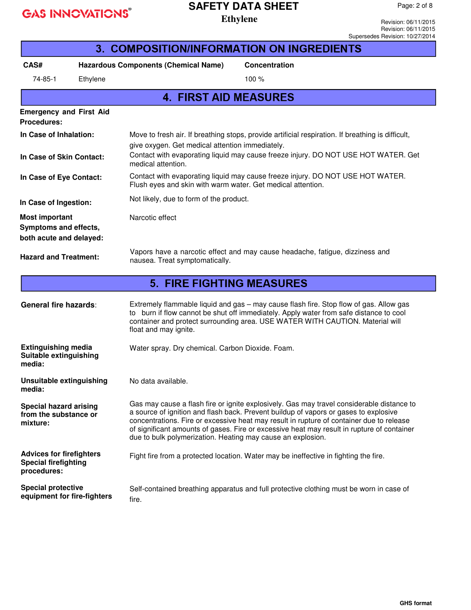## **SAFETY DATA SHEET**

**Ethylene** 

Revision: 06/11/2015 Revision: 06/11/2015 Supersedes Revision: 10/27/2014

| 3. COMPOSITION/INFORMATION ON INGREDIENTS                                     |          |                                                             |                                                                                                                                                                                                                                                                                                                                                                             |
|-------------------------------------------------------------------------------|----------|-------------------------------------------------------------|-----------------------------------------------------------------------------------------------------------------------------------------------------------------------------------------------------------------------------------------------------------------------------------------------------------------------------------------------------------------------------|
| CAS#                                                                          |          | <b>Hazardous Components (Chemical Name)</b>                 | Concentration                                                                                                                                                                                                                                                                                                                                                               |
| 74-85-1                                                                       | Ethylene |                                                             | 100 %                                                                                                                                                                                                                                                                                                                                                                       |
|                                                                               |          | <b>4. FIRST AID MEASURES</b>                                |                                                                                                                                                                                                                                                                                                                                                                             |
| <b>Emergency and First Aid</b><br><b>Procedures:</b>                          |          |                                                             |                                                                                                                                                                                                                                                                                                                                                                             |
| In Case of Inhalation:                                                        |          | give oxygen. Get medical attention immediately.             | Move to fresh air. If breathing stops, provide artificial respiration. If breathing is difficult,                                                                                                                                                                                                                                                                           |
| In Case of Skin Contact:                                                      |          | medical attention.                                          | Contact with evaporating liquid may cause freeze injury. DO NOT USE HOT WATER. Get                                                                                                                                                                                                                                                                                          |
| In Case of Eye Contact:                                                       |          | Flush eyes and skin with warm water. Get medical attention. | Contact with evaporating liquid may cause freeze injury. DO NOT USE HOT WATER.                                                                                                                                                                                                                                                                                              |
| In Case of Ingestion:                                                         |          | Not likely, due to form of the product.                     |                                                                                                                                                                                                                                                                                                                                                                             |
| <b>Most important</b><br>Symptoms and effects,<br>both acute and delayed:     |          | Narcotic effect                                             |                                                                                                                                                                                                                                                                                                                                                                             |
| <b>Hazard and Treatment:</b>                                                  |          | nausea. Treat symptomatically.                              | Vapors have a narcotic effect and may cause headache, fatigue, dizziness and                                                                                                                                                                                                                                                                                                |
|                                                                               |          | <b>5. FIRE FIGHTING MEASURES</b>                            |                                                                                                                                                                                                                                                                                                                                                                             |
| <b>General fire hazards:</b>                                                  |          | float and may ignite.                                       | Extremely flammable liquid and gas - may cause flash fire. Stop flow of gas. Allow gas<br>to burn if flow cannot be shut off immediately. Apply water from safe distance to cool<br>container and protect surrounding area. USE WATER WITH CAUTION. Material will                                                                                                           |
| <b>Extinguishing media</b><br>Suitable extinguishing<br>media:                |          | Water spray. Dry chemical. Carbon Dioxide. Foam.            |                                                                                                                                                                                                                                                                                                                                                                             |
| Unsuitable extinguishing<br>media:                                            |          | No data available.                                          |                                                                                                                                                                                                                                                                                                                                                                             |
| <b>Special hazard arising</b><br>from the substance or<br>mixture:            |          | due to bulk polymerization. Heating may cause an explosion. | Gas may cause a flash fire or ignite explosively. Gas may travel considerable distance to<br>a source of ignition and flash back. Prevent buildup of vapors or gases to explosive<br>concentrations. Fire or excessive heat may result in rupture of container due to release<br>of significant amounts of gases. Fire or excessive heat may result in rupture of container |
| <b>Advices for firefighters</b><br><b>Special firefighting</b><br>procedures: |          |                                                             | Fight fire from a protected location. Water may be ineffective in fighting the fire.                                                                                                                                                                                                                                                                                        |
| <b>Special protective</b><br>equipment for fire-fighters                      |          | fire.                                                       | Self-contained breathing apparatus and full protective clothing must be worn in case of                                                                                                                                                                                                                                                                                     |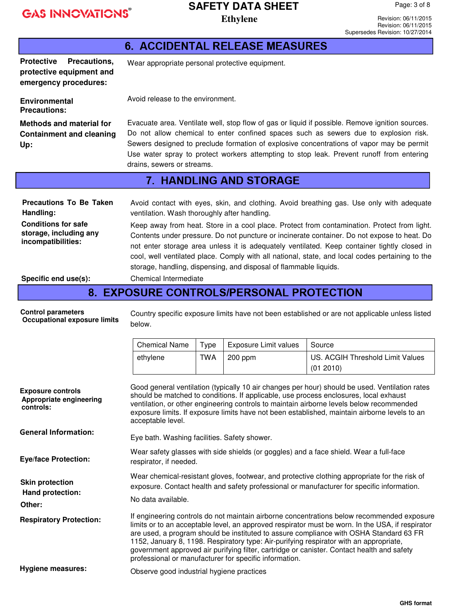# **SAFETY DATA SHEET**

**Ethylene** Revision: 06/11/2015 Revision: 06/11/2015 Supersedes Revision: 10/27/2014

Page: 3 of 8

|                                                                                                                                                   |                                                                                                                                                                                                                                                                                                                                                                                                                                                                                                                                                                                                                                        |            | <b>6. ACCIDENTAL RELEASE MEASURES</b>                  |                                                                                                                                                                                                                                                                                                                                                                                                                                                                                  |
|---------------------------------------------------------------------------------------------------------------------------------------------------|----------------------------------------------------------------------------------------------------------------------------------------------------------------------------------------------------------------------------------------------------------------------------------------------------------------------------------------------------------------------------------------------------------------------------------------------------------------------------------------------------------------------------------------------------------------------------------------------------------------------------------------|------------|--------------------------------------------------------|----------------------------------------------------------------------------------------------------------------------------------------------------------------------------------------------------------------------------------------------------------------------------------------------------------------------------------------------------------------------------------------------------------------------------------------------------------------------------------|
| Protective Precautions,<br>protective equipment and<br>emergency procedures:                                                                      | Wear appropriate personal protective equipment.                                                                                                                                                                                                                                                                                                                                                                                                                                                                                                                                                                                        |            |                                                        |                                                                                                                                                                                                                                                                                                                                                                                                                                                                                  |
| <b>Environmental</b><br><b>Precautions:</b>                                                                                                       | Avoid release to the environment.                                                                                                                                                                                                                                                                                                                                                                                                                                                                                                                                                                                                      |            |                                                        |                                                                                                                                                                                                                                                                                                                                                                                                                                                                                  |
| <b>Methods and material for</b><br><b>Containment and cleaning</b><br>Up:                                                                         | Evacuate area. Ventilate well, stop flow of gas or liquid if possible. Remove ignition sources.<br>Do not allow chemical to enter confined spaces such as sewers due to explosion risk.<br>Sewers designed to preclude formation of explosive concentrations of vapor may be permit<br>Use water spray to protect workers attempting to stop leak. Prevent runoff from entering<br>drains, sewers or streams.                                                                                                                                                                                                                          |            |                                                        |                                                                                                                                                                                                                                                                                                                                                                                                                                                                                  |
|                                                                                                                                                   |                                                                                                                                                                                                                                                                                                                                                                                                                                                                                                                                                                                                                                        |            | <b>7. HANDLING AND STORAGE</b>                         |                                                                                                                                                                                                                                                                                                                                                                                                                                                                                  |
| <b>Precautions To Be Taken</b><br>Handling:<br><b>Conditions for safe</b><br>storage, including any<br>incompatibilities:<br>Specific end use(s): | Avoid contact with eyes, skin, and clothing. Avoid breathing gas. Use only with adequate<br>ventilation. Wash thoroughly after handling.<br>Keep away from heat. Store in a cool place. Protect from contamination. Protect from light.<br>Contents under pressure. Do not puncture or incinerate container. Do not expose to heat. Do<br>not enter storage area unless it is adequately ventilated. Keep container tightly closed in<br>cool, well ventilated place. Comply with all national, state, and local codes pertaining to the<br>storage, handling, dispensing, and disposal of flammable liquids.<br>Chemical Intermediate |            |                                                        |                                                                                                                                                                                                                                                                                                                                                                                                                                                                                  |
|                                                                                                                                                   |                                                                                                                                                                                                                                                                                                                                                                                                                                                                                                                                                                                                                                        |            | 8. EXPOSURE CONTROLS/PERSONAL PROTECTION               |                                                                                                                                                                                                                                                                                                                                                                                                                                                                                  |
| <b>Control parameters</b><br><b>Occupational exposure limits</b>                                                                                  | Country specific exposure limits have not been established or are not applicable unless listed<br>below.                                                                                                                                                                                                                                                                                                                                                                                                                                                                                                                               |            |                                                        |                                                                                                                                                                                                                                                                                                                                                                                                                                                                                  |
|                                                                                                                                                   | <b>Chemical Name</b>                                                                                                                                                                                                                                                                                                                                                                                                                                                                                                                                                                                                                   | Type       | <b>Exposure Limit values</b>                           | Source                                                                                                                                                                                                                                                                                                                                                                                                                                                                           |
|                                                                                                                                                   | ethylene                                                                                                                                                                                                                                                                                                                                                                                                                                                                                                                                                                                                                               | <b>TWA</b> | 200 ppm                                                | US. ACGIH Threshold Limit Values<br>(01 2010)                                                                                                                                                                                                                                                                                                                                                                                                                                    |
| <b>Exposure controls</b><br>Appropriate engineering<br>controls:                                                                                  | acceptable level.                                                                                                                                                                                                                                                                                                                                                                                                                                                                                                                                                                                                                      |            |                                                        | Good general ventilation (typically 10 air changes per hour) should be used. Ventilation rates<br>should be matched to conditions. If applicable, use process enclosures, local exhaust<br>ventilation, or other engineering controls to maintain airborne levels below recommended<br>exposure limits. If exposure limits have not been established, maintain airborne levels to an                                                                                             |
| <b>General Information:</b>                                                                                                                       | Eye bath. Washing facilities. Safety shower.                                                                                                                                                                                                                                                                                                                                                                                                                                                                                                                                                                                           |            |                                                        |                                                                                                                                                                                                                                                                                                                                                                                                                                                                                  |
| <b>Eye/face Protection:</b>                                                                                                                       | respirator, if needed.                                                                                                                                                                                                                                                                                                                                                                                                                                                                                                                                                                                                                 |            |                                                        | Wear safety glasses with side shields (or goggles) and a face shield. Wear a full-face                                                                                                                                                                                                                                                                                                                                                                                           |
| <b>Skin protection</b><br>Hand protection:<br>Other:                                                                                              | No data available.                                                                                                                                                                                                                                                                                                                                                                                                                                                                                                                                                                                                                     |            |                                                        | Wear chemical-resistant gloves, footwear, and protective clothing appropriate for the risk of<br>exposure. Contact health and safety professional or manufacturer for specific information.                                                                                                                                                                                                                                                                                      |
| <b>Respiratory Protection:</b>                                                                                                                    |                                                                                                                                                                                                                                                                                                                                                                                                                                                                                                                                                                                                                                        |            | professional or manufacturer for specific information. | If engineering controls do not maintain airborne concentrations below recommended exposure<br>limits or to an acceptable level, an approved respirator must be worn. In the USA, if respirator<br>are used, a program should be instituted to assure compliance with OSHA Standard 63 FR<br>1152, January 8, 1198. Respiratory type: Air-purifying respirator with an appropriate,<br>government approved air purifying filter, cartridge or canister. Contact health and safety |
| <b>Hygiene measures:</b>                                                                                                                          | Observe good industrial hygiene practices                                                                                                                                                                                                                                                                                                                                                                                                                                                                                                                                                                                              |            |                                                        |                                                                                                                                                                                                                                                                                                                                                                                                                                                                                  |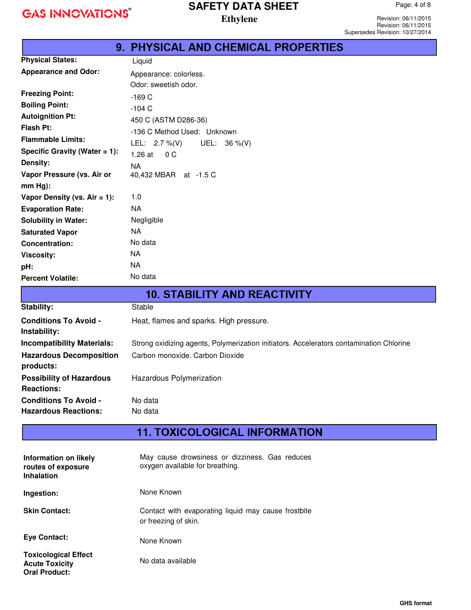#### **SAFETY DATA SHEET Ethylene**

Revision: 06/11/2015 Revision: 06/11/2015 Supersedes Revision: 10/27/2014

|                                  | <b>9. PHYSICAL AND CHEMICAL PROPERTIES</b> |
|----------------------------------|--------------------------------------------|
| <b>Physical States:</b>          | Liquid                                     |
| <b>Appearance and Odor:</b>      | Appearance: colorless.                     |
|                                  | Odor: sweetish odor.                       |
| <b>Freezing Point:</b>           | $-169C$                                    |
| <b>Boiling Point:</b>            | $-104C$                                    |
| <b>Autoignition Pt:</b>          | 450 C (ASTM D286-36)                       |
| Flash Pt:                        | -136 C Method Used: Unknown                |
| <b>Flammable Limits:</b>         | LEL: $2.7\%$ (V)<br>UEL: $36 \%$ (V)       |
| Specific Gravity (Water $= 1$ ): | $1.26$ at<br>0 <sup>C</sup>                |
| Density:                         | <b>NA</b>                                  |
| Vapor Pressure (vs. Air or       | 40,432 MBAR at -1.5 C                      |
| $mm Hg$ :                        |                                            |
| Vapor Density (vs. $Air = 1$ ):  | 1.0                                        |
| <b>Evaporation Rate:</b>         | <b>NA</b>                                  |
| <b>Solubility in Water:</b>      | Negligible                                 |
| <b>Saturated Vapor</b>           | <b>NA</b>                                  |
| <b>Concentration:</b>            | No data                                    |
| <b>Viscosity:</b>                | NA.                                        |
| pH:                              | NA.                                        |
| <b>Percent Volatile:</b>         | No data                                    |

| <b>10. STABILITY AND REACTIVITY</b>                         |                                                                                         |  |
|-------------------------------------------------------------|-----------------------------------------------------------------------------------------|--|
| Stability:                                                  | Stable                                                                                  |  |
| <b>Conditions To Avoid -</b><br>Instability:                | Heat, flames and sparks. High pressure.                                                 |  |
| <b>Incompatibility Materials:</b>                           | Strong oxidizing agents, Polymerization initiators. Accelerators contamination Chlorine |  |
| <b>Hazardous Decomposition</b><br>products:                 | Carbon monoxide, Carbon Dioxide                                                         |  |
| <b>Possibility of Hazardous</b><br><b>Reactions:</b>        | Hazardous Polymerization                                                                |  |
| <b>Conditions To Avoid -</b><br><b>Hazardous Reactions:</b> | No data<br>No data                                                                      |  |
|                                                             |                                                                                         |  |

## **11. TOXICOLOGICAL INFORMATION**

| Information on likely<br>routes of exposure<br><b>Inhalation</b>             | May cause drowsiness or dizziness. Gas reduces<br>oxygen available for breathing. |
|------------------------------------------------------------------------------|-----------------------------------------------------------------------------------|
| Ingestion:                                                                   | None Known                                                                        |
| <b>Skin Contact:</b>                                                         | Contact with evaporating liquid may cause frostbite<br>or freezing of skin.       |
| <b>Eve Contact:</b>                                                          | None Known                                                                        |
| <b>Toxicological Effect</b><br><b>Acute Toxicity</b><br><b>Oral Product:</b> | No data available                                                                 |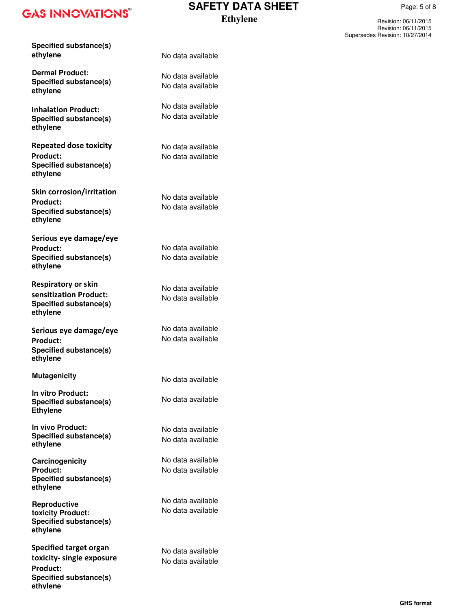**Specified substance(s) ethylene** 

**Dermal Product: Specified substance(s) ethylene** 

**Inhalation Product: Specified substance(s) ethylene** 

**Repeated dose toxicity Product: Specified substance(s) ethylene** 

**Skin corrosion/irritation Product: Specified substance(s) ethylene** 

**Serious eye damage/eye Product: Specified substance(s) ethylene** 

**Respiratory or skin sensitization Product: Specified substance(s) ethylene** 

**Serious eye damage/eye Product: Specified substance(s) ethylene** 

**Mutagenicity** 

**In vitro Product: Specified substance(s) Ethylene** 

**In vivo Product: Specified substance(s) ethylene** 

**Carcinogenicity Product: Specified substance(s) ethylene** 

**Reproductive toxicity Product: Specified substance(s) ethylene** 

**Specified target organ toxicity- single exposure Product: Specified substance(s) ethylene**

#### **SAFETY DATA SHEET Ethylene**

Revision: 06/11/2015 Page: 5 of 8

Revision: 06/11/2015 Supersedes Revision: 10/27/2014

No data available

No data available No data available

No data available No data available

No data available No data available

No data available No data available

No data available No data available

No data available No data available

No data available No data available

No data available

No data available

No data available No data available

No data available No data available

No data available No data available

No data available No data available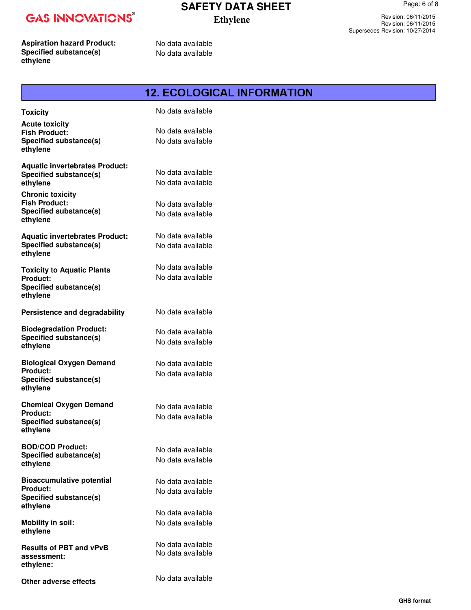### **SAFETY DATA SHEET Ethylene**

Page: 6 of 8

Revision: 06/11/2015 Revision: 06/11/2015 Supersedes Revision: 10/27/2014

**Aspiration hazard Product: Specified substance(s) ethylene** 

No data available No data available

|                                                                                                 | <b>12. ECOLOGICAL INFORMATION</b>      |
|-------------------------------------------------------------------------------------------------|----------------------------------------|
| <b>Toxicity</b>                                                                                 | No data available                      |
| <b>Acute toxicity</b><br><b>Fish Product:</b><br>Specified substance(s)<br>ethylene             | No data available<br>No data available |
| <b>Aquatic invertebrates Product:</b><br><b>Specified substance(s)</b><br>ethylene              | No data available<br>No data available |
| <b>Chronic toxicity</b><br><b>Fish Product:</b><br>Specified substance(s)<br>ethylene           | No data available<br>No data available |
| <b>Aquatic invertebrates Product:</b><br>Specified substance(s)<br>ethylene                     | No data available<br>No data available |
| <b>Toxicity to Aquatic Plants</b><br>Product:<br>Specified substance(s)<br>ethylene             | No data available<br>No data available |
| Persistence and degradability                                                                   | No data available                      |
| <b>Biodegradation Product:</b><br><b>Specified substance(s)</b><br>ethylene                     | No data available<br>No data available |
| <b>Biological Oxygen Demand</b><br><b>Product:</b><br><b>Specified substance(s)</b><br>ethylene | No data available<br>No data available |
| <b>Chemical Oxygen Demand</b><br><b>Product:</b><br>Specified substance(s)<br>ethylene          | No data available<br>No data available |
| <b>BOD/COD Product:</b><br>Specified substance(s)<br>ethylene                                   | No data available<br>No data available |
| <b>Bioaccumulative potential</b><br><b>Product:</b><br>Specified substance(s)<br>ethylene       | No data available<br>No data available |
| <b>Mobility in soil:</b><br>ethylene                                                            | No data available<br>No data available |
| <b>Results of PBT and vPvB</b><br>assessment:<br>ethylene:                                      | No data available<br>No data available |
| Other adverse effects                                                                           | No data available                      |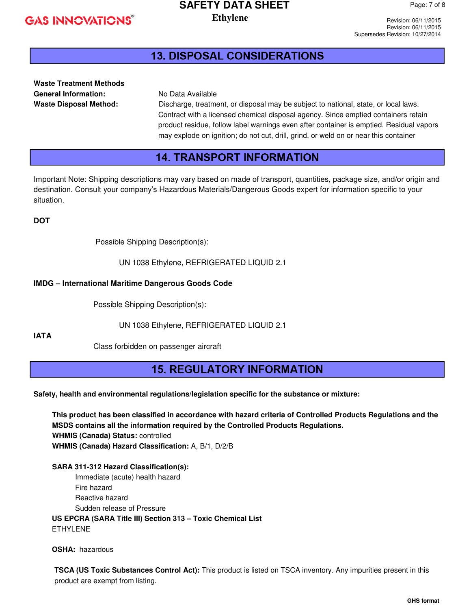# **SAFETY DATA SHEET**

**Ethylene** 

Revision: 06/11/2015 Revision: 06/11/2015 Supersedes Revision: 10/27/2014

### **13. DISPOSAL CONSIDERATIONS**

**Waste Treatment Methods**  General Information: No Data Available

**Waste Disposal Method:** Discharge, treatment, or disposal may be subject to national, state, or local laws. Contract with a licensed chemical disposal agency. Since emptied containers retain product residue, follow label warnings even after container is emptied. Residual vapors may explode on ignition; do not cut, drill, grind, or weld on or near this container

#### **14. TRANSPORT INFORMATION**

Important Note: Shipping descriptions may vary based on made of transport, quantities, package size, and/or origin and destination. Consult your company's Hazardous Materials/Dangerous Goods expert for information specific to your situation.

**DOT** 

Possible Shipping Description(s):

UN 1038 Ethylene, REFRIGERATED LIQUID 2.1

#### **IMDG – International Maritime Dangerous Goods Code**

Possible Shipping Description(s):

UN 1038 Ethylene, REFRIGERATED LIQUID 2.1

**IATA**

Class forbidden on passenger aircraft

#### **15. REGULATORY INFORMATION**

**Safety, health and environmental regulations/legislation specific for the substance or mixture:** 

**This product has been classified in accordance with hazard criteria of Controlled Products Regulations and the MSDS contains all the information required by the Controlled Products Regulations. WHMIS (Canada) Status:** controlled **WHMIS (Canada) Hazard Classification:** A, B/1, D/2/B

**SARA 311-312 Hazard Classification(s):**  Immediate (acute) health hazard Fire hazard Reactive hazard Sudden release of Pressure  **US EPCRA (SARA Title III) Section 313 – Toxic Chemical List**  ETHYLENE

 **OSHA:** hazardous

**TSCA (US Toxic Substances Control Act):** This product is listed on TSCA inventory. Any impurities present in this product are exempt from listing.